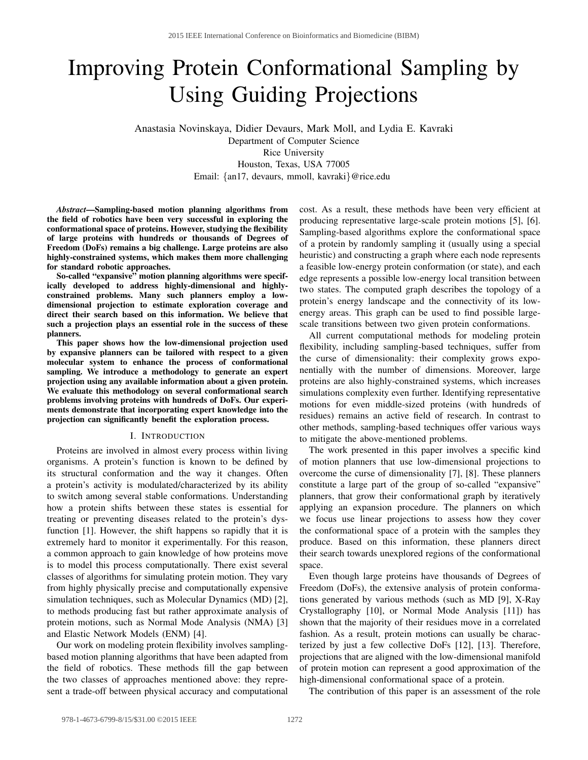# Improving Protein Conformational Sampling by Using Guiding Projections

Anastasia Novinskaya, Didier Devaurs, Mark Moll, and Lydia E. Kavraki Department of Computer Science Rice University Houston, Texas, USA 77005 Email: {an17, devaurs, mmoll, kavraki}@rice.edu

*Abstract*—Sampling-based motion planning algorithms from the field of robotics have been very successful in exploring the conformational space of proteins. However, studying the flexibility of large proteins with hundreds or thousands of Degrees of Freedom (DoFs) remains a big challenge. Large proteins are also highly-constrained systems, which makes them more challenging for standard robotic approaches.

So-called "expansive" motion planning algorithms were specifically developed to address highly-dimensional and highlyconstrained problems. Many such planners employ a lowdimensional projection to estimate exploration coverage and direct their search based on this information. We believe that such a projection plays an essential role in the success of these planners.

This paper shows how the low-dimensional projection used by expansive planners can be tailored with respect to a given molecular system to enhance the process of conformational sampling. We introduce a methodology to generate an expert projection using any available information about a given protein. We evaluate this methodology on several conformational search problems involving proteins with hundreds of DoFs. Our experiments demonstrate that incorporating expert knowledge into the projection can significantly benefit the exploration process.

## I. INTRODUCTION

Proteins are involved in almost every process within living organisms. A protein's function is known to be defined by its structural conformation and the way it changes. Often a protein's activity is modulated/characterized by its ability to switch among several stable conformations. Understanding how a protein shifts between these states is essential for treating or preventing diseases related to the protein's dysfunction [1]. However, the shift happens so rapidly that it is extremely hard to monitor it experimentally. For this reason, a common approach to gain knowledge of how proteins move is to model this process computationally. There exist several classes of algorithms for simulating protein motion. They vary from highly physically precise and computationally expensive simulation techniques, such as Molecular Dynamics (MD) [2], to methods producing fast but rather approximate analysis of protein motions, such as Normal Mode Analysis (NMA) [3] and Elastic Network Models (ENM) [4].

Our work on modeling protein flexibility involves samplingbased motion planning algorithms that have been adapted from the field of robotics. These methods fill the gap between the two classes of approaches mentioned above: they represent a trade-off between physical accuracy and computational cost. As a result, these methods have been very efficient at producing representative large-scale protein motions [5], [6]. Sampling-based algorithms explore the conformational space of a protein by randomly sampling it (usually using a special heuristic) and constructing a graph where each node represents a feasible low-energy protein conformation (or state), and each edge represents a possible low-energy local transition between two states. The computed graph describes the topology of a protein's energy landscape and the connectivity of its lowenergy areas. This graph can be used to find possible largescale transitions between two given protein conformations.

All current computational methods for modeling protein flexibility, including sampling-based techniques, suffer from the curse of dimensionality: their complexity grows exponentially with the number of dimensions. Moreover, large proteins are also highly-constrained systems, which increases simulations complexity even further. Identifying representative motions for even middle-sized proteins (with hundreds of residues) remains an active field of research. In contrast to other methods, sampling-based techniques offer various ways to mitigate the above-mentioned problems.

The work presented in this paper involves a specific kind of motion planners that use low-dimensional projections to overcome the curse of dimensionality [7], [8]. These planners constitute a large part of the group of so-called "expansive" planners, that grow their conformational graph by iteratively applying an expansion procedure. The planners on which we focus use linear projections to assess how they cover the conformational space of a protein with the samples they produce. Based on this information, these planners direct their search towards unexplored regions of the conformational space.

Even though large proteins have thousands of Degrees of Freedom (DoFs), the extensive analysis of protein conformations generated by various methods (such as MD [9], X-Ray Crystallography [10], or Normal Mode Analysis [11]) has shown that the majority of their residues move in a correlated fashion. As a result, protein motions can usually be characterized by just a few collective DoFs [12], [13]. Therefore, projections that are aligned with the low-dimensional manifold of protein motion can represent a good approximation of the high-dimensional conformational space of a protein.

The contribution of this paper is an assessment of the role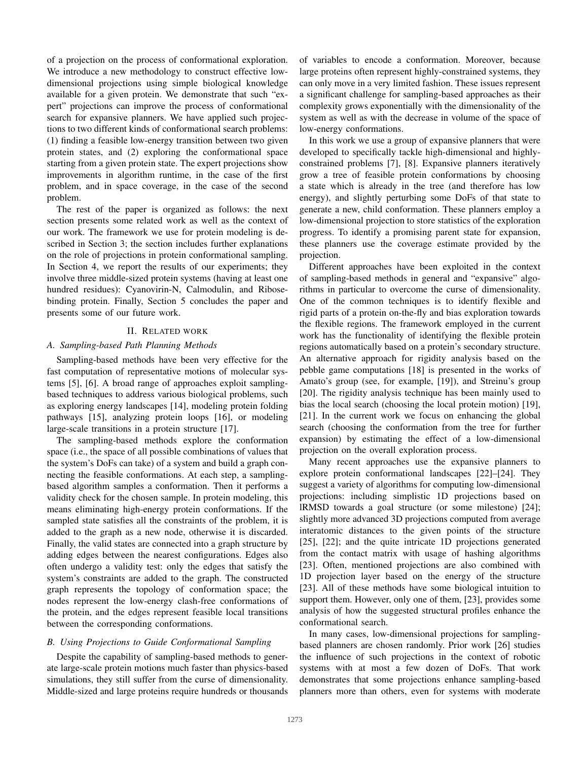of a projection on the process of conformational exploration. We introduce a new methodology to construct effective lowdimensional projections using simple biological knowledge available for a given protein. We demonstrate that such "expert" projections can improve the process of conformational search for expansive planners. We have applied such projections to two different kinds of conformational search problems: (1) finding a feasible low-energy transition between two given protein states, and (2) exploring the conformational space starting from a given protein state. The expert projections show improvements in algorithm runtime, in the case of the first problem, and in space coverage, in the case of the second problem.

The rest of the paper is organized as follows: the next section presents some related work as well as the context of our work. The framework we use for protein modeling is described in Section 3; the section includes further explanations on the role of projections in protein conformational sampling. In Section 4, we report the results of our experiments; they involve three middle-sized protein systems (having at least one hundred residues): Cyanovirin-N, Calmodulin, and Ribosebinding protein. Finally, Section 5 concludes the paper and presents some of our future work.

# II. RELATED WORK

# *A. Sampling-based Path Planning Methods*

Sampling-based methods have been very effective for the fast computation of representative motions of molecular systems [5], [6]. A broad range of approaches exploit samplingbased techniques to address various biological problems, such as exploring energy landscapes [14], modeling protein folding pathways [15], analyzing protein loops [16], or modeling large-scale transitions in a protein structure [17].

The sampling-based methods explore the conformation space (i.e., the space of all possible combinations of values that the system's DoFs can take) of a system and build a graph connecting the feasible conformations. At each step, a samplingbased algorithm samples a conformation. Then it performs a validity check for the chosen sample. In protein modeling, this means eliminating high-energy protein conformations. If the sampled state satisfies all the constraints of the problem, it is added to the graph as a new node, otherwise it is discarded. Finally, the valid states are connected into a graph structure by adding edges between the nearest configurations. Edges also often undergo a validity test: only the edges that satisfy the system's constraints are added to the graph. The constructed graph represents the topology of conformation space; the nodes represent the low-energy clash-free conformations of the protein, and the edges represent feasible local transitions between the corresponding conformations.

# *B. Using Projections to Guide Conformational Sampling*

Despite the capability of sampling-based methods to generate large-scale protein motions much faster than physics-based simulations, they still suffer from the curse of dimensionality. Middle-sized and large proteins require hundreds or thousands of variables to encode a conformation. Moreover, because large proteins often represent highly-constrained systems, they can only move in a very limited fashion. These issues represent a significant challenge for sampling-based approaches as their complexity grows exponentially with the dimensionality of the system as well as with the decrease in volume of the space of low-energy conformations.

In this work we use a group of expansive planners that were developed to specifically tackle high-dimensional and highlyconstrained problems [7], [8]. Expansive planners iteratively grow a tree of feasible protein conformations by choosing a state which is already in the tree (and therefore has low energy), and slightly perturbing some DoFs of that state to generate a new, child conformation. These planners employ a low-dimensional projection to store statistics of the exploration progress. To identify a promising parent state for expansion, these planners use the coverage estimate provided by the projection.

Different approaches have been exploited in the context of sampling-based methods in general and "expansive" algorithms in particular to overcome the curse of dimensionality. One of the common techniques is to identify flexible and rigid parts of a protein on-the-fly and bias exploration towards the flexible regions. The framework employed in the current work has the functionality of identifying the flexible protein regions automatically based on a protein's secondary structure. An alternative approach for rigidity analysis based on the pebble game computations [18] is presented in the works of Amato's group (see, for example, [19]), and Streinu's group [20]. The rigidity analysis technique has been mainly used to bias the local search (choosing the local protein motion) [19], [21]. In the current work we focus on enhancing the global search (choosing the conformation from the tree for further expansion) by estimating the effect of a low-dimensional projection on the overall exploration process.

Many recent approaches use the expansive planners to explore protein conformational landscapes [22]–[24]. They suggest a variety of algorithms for computing low-dimensional projections: including simplistic 1D projections based on lRMSD towards a goal structure (or some milestone) [24]; slightly more advanced 3D projections computed from average interatomic distances to the given points of the structure [25], [22]; and the quite intricate 1D projections generated from the contact matrix with usage of hashing algorithms [23]. Often, mentioned projections are also combined with 1D projection layer based on the energy of the structure [23]. All of these methods have some biological intuition to support them. However, only one of them, [23], provides some analysis of how the suggested structural profiles enhance the conformational search.

In many cases, low-dimensional projections for samplingbased planners are chosen randomly. Prior work [26] studies the influence of such projections in the context of robotic systems with at most a few dozen of DoFs. That work demonstrates that some projections enhance sampling-based planners more than others, even for systems with moderate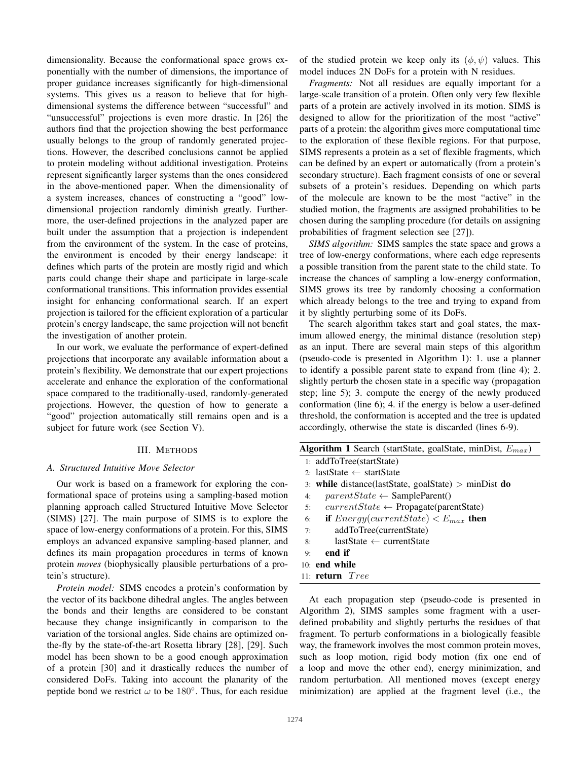dimensionality. Because the conformational space grows exponentially with the number of dimensions, the importance of proper guidance increases significantly for high-dimensional systems. This gives us a reason to believe that for highdimensional systems the difference between "successful" and "unsuccessful" projections is even more drastic. In [26] the authors find that the projection showing the best performance usually belongs to the group of randomly generated projections. However, the described conclusions cannot be applied to protein modeling without additional investigation. Proteins represent significantly larger systems than the ones considered in the above-mentioned paper. When the dimensionality of a system increases, chances of constructing a "good" lowdimensional projection randomly diminish greatly. Furthermore, the user-defined projections in the analyzed paper are built under the assumption that a projection is independent from the environment of the system. In the case of proteins, the environment is encoded by their energy landscape: it defines which parts of the protein are mostly rigid and which parts could change their shape and participate in large-scale conformational transitions. This information provides essential insight for enhancing conformational search. If an expert projection is tailored for the efficient exploration of a particular protein's energy landscape, the same projection will not benefit the investigation of another protein.

In our work, we evaluate the performance of expert-defined projections that incorporate any available information about a protein's flexibility. We demonstrate that our expert projections accelerate and enhance the exploration of the conformational space compared to the traditionally-used, randomly-generated projections. However, the question of how to generate a "good" projection automatically still remains open and is a subject for future work (see Section V).

## III. METHODS

## *A. Structured Intuitive Move Selector*

Our work is based on a framework for exploring the conformational space of proteins using a sampling-based motion planning approach called Structured Intuitive Move Selector (SIMS) [27]. The main purpose of SIMS is to explore the space of low-energy conformations of a protein. For this, SIMS employs an advanced expansive sampling-based planner, and defines its main propagation procedures in terms of known protein *moves* (biophysically plausible perturbations of a protein's structure).

*Protein model:* SIMS encodes a protein's conformation by the vector of its backbone dihedral angles. The angles between the bonds and their lengths are considered to be constant because they change insignificantly in comparison to the variation of the torsional angles. Side chains are optimized onthe-fly by the state-of-the-art Rosetta library [28], [29]. Such model has been shown to be a good enough approximation of a protein [30] and it drastically reduces the number of considered DoFs. Taking into account the planarity of the peptide bond we restrict  $\omega$  to be 180°. Thus, for each residue

of the studied protein we keep only its  $(\phi, \psi)$  values. This model induces 2N DoFs for a protein with N residues.

*Fragments:* Not all residues are equally important for a large-scale transition of a protein. Often only very few flexible parts of a protein are actively involved in its motion. SIMS is designed to allow for the prioritization of the most "active" parts of a protein: the algorithm gives more computational time to the exploration of these flexible regions. For that purpose, SIMS represents a protein as a set of flexible fragments, which can be defined by an expert or automatically (from a protein's secondary structure). Each fragment consists of one or several subsets of a protein's residues. Depending on which parts of the molecule are known to be the most "active" in the studied motion, the fragments are assigned probabilities to be chosen during the sampling procedure (for details on assigning probabilities of fragment selection see [27]).

*SIMS algorithm:* SIMS samples the state space and grows a tree of low-energy conformations, where each edge represents a possible transition from the parent state to the child state. To increase the chances of sampling a low-energy conformation, SIMS grows its tree by randomly choosing a conformation which already belongs to the tree and trying to expand from it by slightly perturbing some of its DoFs.

The search algorithm takes start and goal states, the maximum allowed energy, the minimal distance (resolution step) as an input. There are several main steps of this algorithm (pseudo-code is presented in Algorithm 1): 1. use a planner to identify a possible parent state to expand from (line 4); 2. slightly perturb the chosen state in a specific way (propagation step; line 5); 3. compute the energy of the newly produced conformation (line 6); 4. if the energy is below a user-defined threshold, the conformation is accepted and the tree is updated accordingly, otherwise the state is discarded (lines 6-9).

| <b>Algorithm 1</b> Search (startState, goalState, minDist, $E_{max}$ ) |
|------------------------------------------------------------------------|
| 1: addToTree(startState)                                               |
| 2: lastState $\leftarrow$ startState                                   |
| 3: while distance(lastState, goalState) $>$ minDist do                 |
| $parentState \leftarrow SampleParent()$<br>4:                          |
| $currentState \leftarrow Propagate(parentState)$<br>5:                 |
| <b>if</b> $Energy(currentState) < E_{max}$ then<br>6:                  |
| addToTree(currentState)<br>7:                                          |
| $lastState \leftarrow currentState$<br>8:                              |
| end if<br>9:                                                           |
| $10:$ end while                                                        |
| 11: $return$ $Tree$                                                    |

At each propagation step (pseudo-code is presented in Algorithm 2), SIMS samples some fragment with a userdefined probability and slightly perturbs the residues of that fragment. To perturb conformations in a biologically feasible way, the framework involves the most common protein moves, such as loop motion, rigid body motion (fix one end of a loop and move the other end), energy minimization, and random perturbation. All mentioned moves (except energy minimization) are applied at the fragment level (i.e., the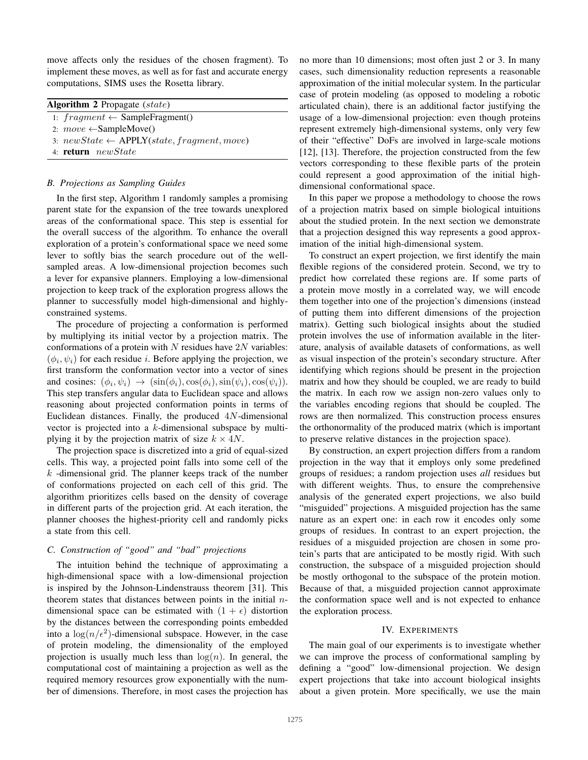move affects only the residues of the chosen fragment). To implement these moves, as well as for fast and accurate energy computations, SIMS uses the Rosetta library.

| <b>Algorithm 2</b> Propagate (state)      |  |
|-------------------------------------------|--|
| 1: $fragment \leftarrow SampleFragment()$ |  |
| 2: $move \leftarrow SampleMove()$         |  |
|                                           |  |

3:  $newState \leftarrow APPLY(state, fragment, move)$ 

4: return newState

# *B. Projections as Sampling Guides*

In the first step, Algorithm 1 randomly samples a promising parent state for the expansion of the tree towards unexplored areas of the conformational space. This step is essential for the overall success of the algorithm. To enhance the overall exploration of a protein's conformational space we need some lever to softly bias the search procedure out of the wellsampled areas. A low-dimensional projection becomes such a lever for expansive planners. Employing a low-dimensional projection to keep track of the exploration progress allows the planner to successfully model high-dimensional and highlyconstrained systems.

The procedure of projecting a conformation is performed by multiplying its initial vector by a projection matrix. The conformations of a protein with  $N$  residues have  $2N$  variables:  $(\phi_i, \psi_i)$  for each residue *i*. Before applying the projection, we first transform the conformation vector into a vector of sines and cosines:  $(\phi_i, \psi_i) \rightarrow (\sin(\phi_i), \cos(\phi_i), \sin(\psi_i), \cos(\psi_i)).$ This step transfers angular data to Euclidean space and allows reasoning about projected conformation points in terms of Euclidean distances. Finally, the produced 4N-dimensional vector is projected into a k-dimensional subspace by multiplying it by the projection matrix of size  $k \times 4N$ .

The projection space is discretized into a grid of equal-sized cells. This way, a projected point falls into some cell of the  $k$  -dimensional grid. The planner keeps track of the number of conformations projected on each cell of this grid. The algorithm prioritizes cells based on the density of coverage in different parts of the projection grid. At each iteration, the planner chooses the highest-priority cell and randomly picks a state from this cell.

# *C. Construction of "good" and "bad" projections*

The intuition behind the technique of approximating a high-dimensional space with a low-dimensional projection is inspired by the Johnson-Lindenstrauss theorem [31]. This theorem states that distances between points in the initial  $n$ dimensional space can be estimated with  $(1 + \epsilon)$  distortion by the distances between the corresponding points embedded into a  $\log(n/\epsilon^2)$ -dimensional subspace. However, in the case of protein modeling, the dimensionality of the employed projection is usually much less than  $log(n)$ . In general, the computational cost of maintaining a projection as well as the required memory resources grow exponentially with the number of dimensions. Therefore, in most cases the projection has no more than 10 dimensions; most often just 2 or 3. In many cases, such dimensionality reduction represents a reasonable approximation of the initial molecular system. In the particular case of protein modeling (as opposed to modeling a robotic articulated chain), there is an additional factor justifying the usage of a low-dimensional projection: even though proteins represent extremely high-dimensional systems, only very few of their "effective" DoFs are involved in large-scale motions [12], [13]. Therefore, the projection constructed from the few vectors corresponding to these flexible parts of the protein could represent a good approximation of the initial highdimensional conformational space.

In this paper we propose a methodology to choose the rows of a projection matrix based on simple biological intuitions about the studied protein. In the next section we demonstrate that a projection designed this way represents a good approximation of the initial high-dimensional system.

To construct an expert projection, we first identify the main flexible regions of the considered protein. Second, we try to predict how correlated these regions are. If some parts of a protein move mostly in a correlated way, we will encode them together into one of the projection's dimensions (instead of putting them into different dimensions of the projection matrix). Getting such biological insights about the studied protein involves the use of information available in the literature, analysis of available datasets of conformations, as well as visual inspection of the protein's secondary structure. After identifying which regions should be present in the projection matrix and how they should be coupled, we are ready to build the matrix. In each row we assign non-zero values only to the variables encoding regions that should be coupled. The rows are then normalized. This construction process ensures the orthonormality of the produced matrix (which is important to preserve relative distances in the projection space).

By construction, an expert projection differs from a random projection in the way that it employs only some predefined groups of residues; a random projection uses *all* residues but with different weights. Thus, to ensure the comprehensive analysis of the generated expert projections, we also build "misguided" projections. A misguided projection has the same nature as an expert one: in each row it encodes only some groups of residues. In contrast to an expert projection, the residues of a misguided projection are chosen in some protein's parts that are anticipated to be mostly rigid. With such construction, the subspace of a misguided projection should be mostly orthogonal to the subspace of the protein motion. Because of that, a misguided projection cannot approximate the conformation space well and is not expected to enhance the exploration process.

# IV. EXPERIMENTS

The main goal of our experiments is to investigate whether we can improve the process of conformational sampling by defining a "good" low-dimensional projection. We design expert projections that take into account biological insights about a given protein. More specifically, we use the main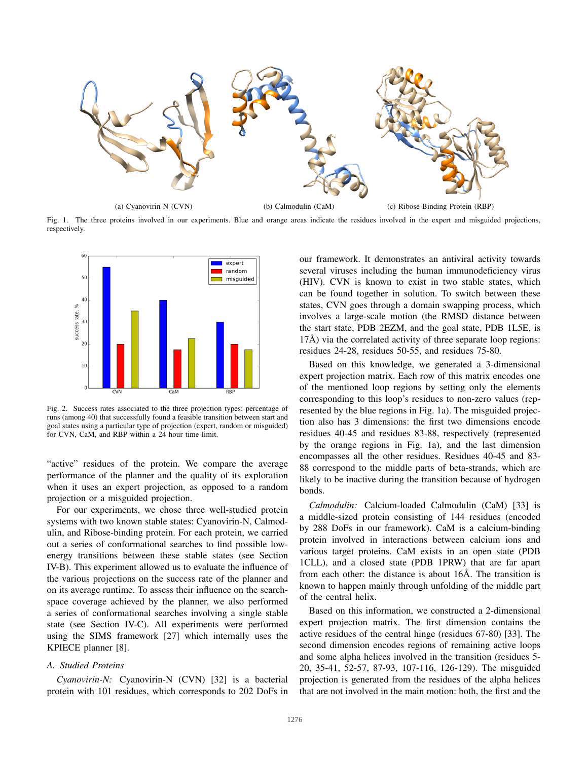

Fig. 1. The three proteins involved in our experiments. Blue and orange areas indicate the residues involved in the expert and misguided projections, respectively.



Fig. 2. Success rates associated to the three projection types: percentage of runs (among 40) that successfully found a feasible transition between start and goal states using a particular type of projection (expert, random or misguided) for CVN, CaM, and RBP within a 24 hour time limit.

"active" residues of the protein. We compare the average performance of the planner and the quality of its exploration when it uses an expert projection, as opposed to a random projection or a misguided projection.

For our experiments, we chose three well-studied protein systems with two known stable states: Cyanovirin-N, Calmodulin, and Ribose-binding protein. For each protein, we carried out a series of conformational searches to find possible lowenergy transitions between these stable states (see Section IV-B). This experiment allowed us to evaluate the influence of the various projections on the success rate of the planner and on its average runtime. To assess their influence on the searchspace coverage achieved by the planner, we also performed a series of conformational searches involving a single stable state (see Section IV-C). All experiments were performed using the SIMS framework [27] which internally uses the KPIECE planner [8].

# *A. Studied Proteins*

*Cyanovirin-N:* Cyanovirin-N (CVN) [32] is a bacterial protein with 101 residues, which corresponds to 202 DoFs in

our framework. It demonstrates an antiviral activity towards several viruses including the human immunodeficiency virus (HIV). CVN is known to exist in two stable states, which can be found together in solution. To switch between these states, CVN goes through a domain swapping process, which involves a large-scale motion (the RMSD distance between the start state, PDB 2EZM, and the goal state, PDB 1L5E, is  $17\text{\AA}$ ) via the correlated activity of three separate loop regions: residues 24-28, residues 50-55, and residues 75-80.

Based on this knowledge, we generated a 3-dimensional expert projection matrix. Each row of this matrix encodes one of the mentioned loop regions by setting only the elements corresponding to this loop's residues to non-zero values (represented by the blue regions in Fig. 1a). The misguided projection also has 3 dimensions: the first two dimensions encode residues 40-45 and residues 83-88, respectively (represented by the orange regions in Fig. 1a), and the last dimension encompasses all the other residues. Residues 40-45 and 83- 88 correspond to the middle parts of beta-strands, which are likely to be inactive during the transition because of hydrogen bonds.

*Calmodulin:* Calcium-loaded Calmodulin (CaM) [33] is a middle-sized protein consisting of 144 residues (encoded by 288 DoFs in our framework). CaM is a calcium-binding protein involved in interactions between calcium ions and various target proteins. CaM exists in an open state (PDB 1CLL), and a closed state (PDB 1PRW) that are far apart from each other: the distance is about 16Å. The transition is known to happen mainly through unfolding of the middle part of the central helix.

Based on this information, we constructed a 2-dimensional expert projection matrix. The first dimension contains the active residues of the central hinge (residues 67-80) [33]. The second dimension encodes regions of remaining active loops and some alpha helices involved in the transition (residues 5- 20, 35-41, 52-57, 87-93, 107-116, 126-129). The misguided projection is generated from the residues of the alpha helices that are not involved in the main motion: both, the first and the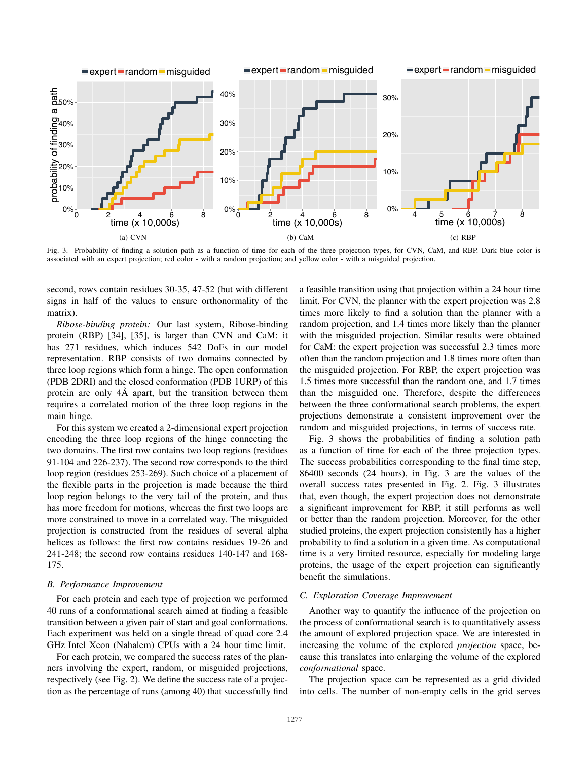

Fig. 3. Probability of finding a solution path as a function of time for each of the three projection types, for CVN, CaM, and RBP. Dark blue color is associated with an expert projection; red color - with a random projection; and yellow color - with a misguided projection.

second, rows contain residues 30-35, 47-52 (but with different signs in half of the values to ensure orthonormality of the matrix).

*Ribose-binding protein:* Our last system, Ribose-binding protein (RBP) [34], [35], is larger than CVN and CaM: it has 271 residues, which induces 542 DoFs in our model representation. RBP consists of two domains connected by three loop regions which form a hinge. The open conformation (PDB 2DRI) and the closed conformation (PDB 1URP) of this protein are only  $4\text{\AA}$  apart, but the transition between them requires a correlated motion of the three loop regions in the main hinge.

For this system we created a 2-dimensional expert projection encoding the three loop regions of the hinge connecting the two domains. The first row contains two loop regions (residues 91-104 and 226-237). The second row corresponds to the third loop region (residues 253-269). Such choice of a placement of the flexible parts in the projection is made because the third loop region belongs to the very tail of the protein, and thus has more freedom for motions, whereas the first two loops are more constrained to move in a correlated way. The misguided projection is constructed from the residues of several alpha helices as follows: the first row contains residues 19-26 and 241-248; the second row contains residues 140-147 and 168- 175.

# *B. Performance Improvement*

For each protein and each type of projection we performed 40 runs of a conformational search aimed at finding a feasible transition between a given pair of start and goal conformations. Each experiment was held on a single thread of quad core 2.4 GHz Intel Xeon (Nahalem) CPUs with a 24 hour time limit.

For each protein, we compared the success rates of the planners involving the expert, random, or misguided projections, respectively (see Fig. 2). We define the success rate of a projection as the percentage of runs (among 40) that successfully find a feasible transition using that projection within a 24 hour time limit. For CVN, the planner with the expert projection was 2.8 times more likely to find a solution than the planner with a random projection, and 1.4 times more likely than the planner with the misguided projection. Similar results were obtained for CaM: the expert projection was successful 2.3 times more often than the random projection and 1.8 times more often than the misguided projection. For RBP, the expert projection was 1.5 times more successful than the random one, and 1.7 times than the misguided one. Therefore, despite the differences between the three conformational search problems, the expert projections demonstrate a consistent improvement over the random and misguided projections, in terms of success rate.

Fig. 3 shows the probabilities of finding a solution path as a function of time for each of the three projection types. The success probabilities corresponding to the final time step, 86400 seconds (24 hours), in Fig. 3 are the values of the overall success rates presented in Fig. 2. Fig. 3 illustrates that, even though, the expert projection does not demonstrate a significant improvement for RBP, it still performs as well or better than the random projection. Moreover, for the other studied proteins, the expert projection consistently has a higher probability to find a solution in a given time. As computational time is a very limited resource, especially for modeling large proteins, the usage of the expert projection can significantly benefit the simulations.

# *C. Exploration Coverage Improvement*

Another way to quantify the influence of the projection on the process of conformational search is to quantitatively assess the amount of explored projection space. We are interested in increasing the volume of the explored *projection* space, because this translates into enlarging the volume of the explored *conformational* space.

The projection space can be represented as a grid divided into cells. The number of non-empty cells in the grid serves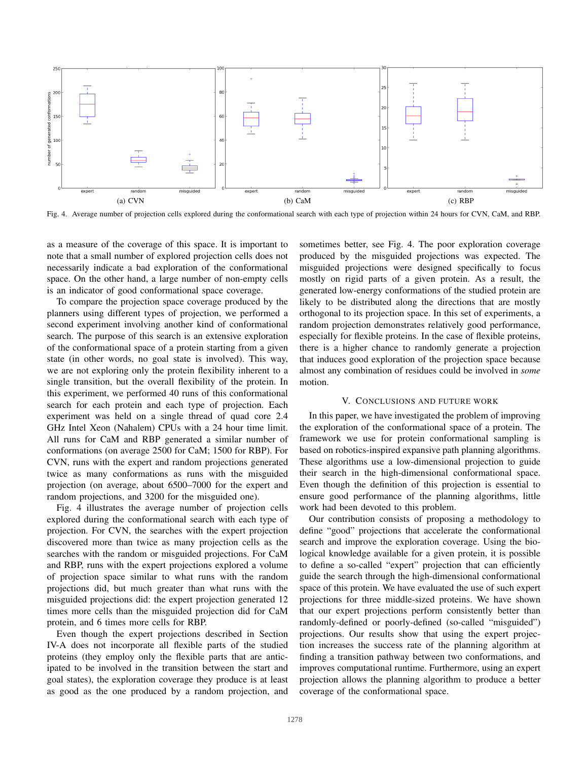

Fig. 4. Average number of projection cells explored during the conformational search with each type of projection within 24 hours for CVN, CaM, and RBP.

as a measure of the coverage of this space. It is important to note that a small number of explored projection cells does not necessarily indicate a bad exploration of the conformational space. On the other hand, a large number of non-empty cells is an indicator of good conformational space coverage.

To compare the projection space coverage produced by the planners using different types of projection, we performed a second experiment involving another kind of conformational search. The purpose of this search is an extensive exploration of the conformational space of a protein starting from a given state (in other words, no goal state is involved). This way, we are not exploring only the protein flexibility inherent to a single transition, but the overall flexibility of the protein. In this experiment, we performed 40 runs of this conformational search for each protein and each type of projection. Each experiment was held on a single thread of quad core 2.4 GHz Intel Xeon (Nahalem) CPUs with a 24 hour time limit. All runs for CaM and RBP generated a similar number of conformations (on average 2500 for CaM; 1500 for RBP). For CVN, runs with the expert and random projections generated twice as many conformations as runs with the misguided projection (on average, about 6500–7000 for the expert and random projections, and 3200 for the misguided one).

Fig. 4 illustrates the average number of projection cells explored during the conformational search with each type of projection. For CVN, the searches with the expert projection discovered more than twice as many projection cells as the searches with the random or misguided projections. For CaM and RBP, runs with the expert projections explored a volume of projection space similar to what runs with the random projections did, but much greater than what runs with the misguided projections did: the expert projection generated 12 times more cells than the misguided projection did for CaM protein, and 6 times more cells for RBP.

Even though the expert projections described in Section IV-A does not incorporate all flexible parts of the studied proteins (they employ only the flexible parts that are anticipated to be involved in the transition between the start and goal states), the exploration coverage they produce is at least as good as the one produced by a random projection, and sometimes better, see Fig. 4. The poor exploration coverage produced by the misguided projections was expected. The misguided projections were designed specifically to focus mostly on rigid parts of a given protein. As a result, the generated low-energy conformations of the studied protein are likely to be distributed along the directions that are mostly orthogonal to its projection space. In this set of experiments, a random projection demonstrates relatively good performance, especially for flexible proteins. In the case of flexible proteins, there is a higher chance to randomly generate a projection that induces good exploration of the projection space because almost any combination of residues could be involved in *some* motion.

## V. CONCLUSIONS AND FUTURE WORK

In this paper, we have investigated the problem of improving the exploration of the conformational space of a protein. The framework we use for protein conformational sampling is based on robotics-inspired expansive path planning algorithms. These algorithms use a low-dimensional projection to guide their search in the high-dimensional conformational space. Even though the definition of this projection is essential to ensure good performance of the planning algorithms, little work had been devoted to this problem.

Our contribution consists of proposing a methodology to define "good" projections that accelerate the conformational search and improve the exploration coverage. Using the biological knowledge available for a given protein, it is possible to define a so-called "expert" projection that can efficiently guide the search through the high-dimensional conformational space of this protein. We have evaluated the use of such expert projections for three middle-sized proteins. We have shown that our expert projections perform consistently better than randomly-defined or poorly-defined (so-called "misguided") projections. Our results show that using the expert projection increases the success rate of the planning algorithm at finding a transition pathway between two conformations, and improves computational runtime. Furthermore, using an expert projection allows the planning algorithm to produce a better coverage of the conformational space.